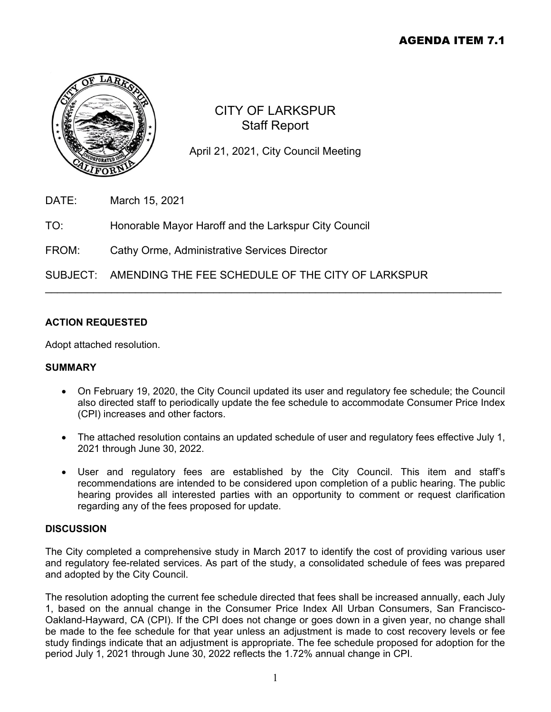# AGENDA ITEM 7.1



# CITY OF LARKSPUR Staff Report

April 21, 2021, City Council Meeting

\_\_\_\_\_\_\_\_\_\_\_\_\_\_\_\_\_\_\_\_\_\_\_\_\_\_\_\_\_\_\_\_\_\_\_\_\_\_\_\_\_\_\_\_\_\_\_\_\_\_\_\_\_\_\_\_\_\_\_\_\_\_\_\_\_\_\_\_\_\_\_\_\_\_\_\_

- DATE: March 15, 2021
- TO: Honorable Mayor Haroff and the Larkspur City Council
- FROM: Cathy Orme, Administrative Services Director

# SUBJECT: AMENDING THE FEE SCHEDULE OF THE CITY OF LARKSPUR

# **ACTION REQUESTED**

Adopt attached resolution.

## **SUMMARY**

- On February 19, 2020, the City Council updated its user and regulatory fee schedule; the Council also directed staff to periodically update the fee schedule to accommodate Consumer Price Index (CPI) increases and other factors.
- The attached resolution contains an updated schedule of user and regulatory fees effective July 1, 2021 through June 30, 2022.
- User and regulatory fees are established by the City Council. This item and staff's recommendations are intended to be considered upon completion of a public hearing. The public hearing provides all interested parties with an opportunity to comment or request clarification regarding any of the fees proposed for update.

## **DISCUSSION**

The City completed a comprehensive study in March 2017 to identify the cost of providing various user and regulatory fee-related services. As part of the study, a consolidated schedule of fees was prepared and adopted by the City Council.

The resolution adopting the current fee schedule directed that fees shall be increased annually, each July 1, based on the annual change in the Consumer Price Index All Urban Consumers, San Francisco-Oakland-Hayward, CA (CPI). If the CPI does not change or goes down in a given year, no change shall be made to the fee schedule for that year unless an adjustment is made to cost recovery levels or fee study findings indicate that an adjustment is appropriate. The fee schedule proposed for adoption for the period July 1, 2021 through June 30, 2022 reflects the 1.72% annual change in CPI.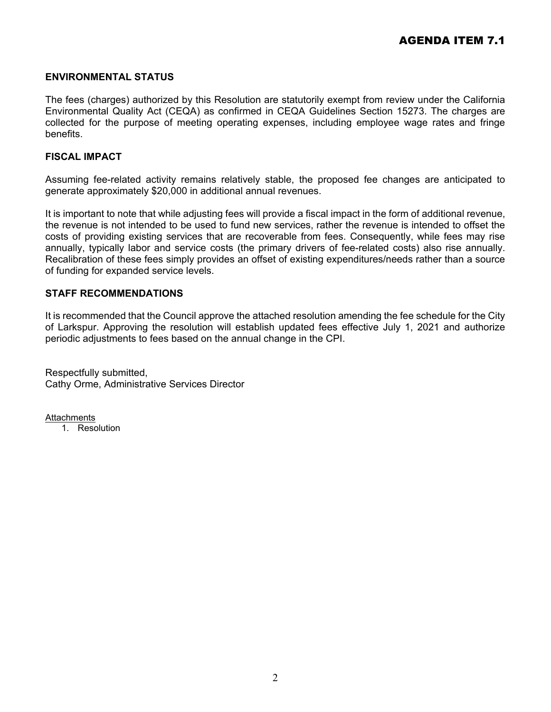## **ENVIRONMENTAL STATUS**

The fees (charges) authorized by this Resolution are statutorily exempt from review under the California Environmental Quality Act (CEQA) as confirmed in CEQA Guidelines Section 15273. The charges are collected for the purpose of meeting operating expenses, including employee wage rates and fringe benefits.

## **FISCAL IMPACT**

Assuming fee-related activity remains relatively stable, the proposed fee changes are anticipated to generate approximately \$20,000 in additional annual revenues.

It is important to note that while adjusting fees will provide a fiscal impact in the form of additional revenue, the revenue is not intended to be used to fund new services, rather the revenue is intended to offset the costs of providing existing services that are recoverable from fees. Consequently, while fees may rise annually, typically labor and service costs (the primary drivers of fee-related costs) also rise annually. Recalibration of these fees simply provides an offset of existing expenditures/needs rather than a source of funding for expanded service levels.

## **STAFF RECOMMENDATIONS**

It is recommended that the Council approve the attached resolution amending the fee schedule for the City of Larkspur. Approving the resolution will establish updated fees effective July 1, 2021 and authorize periodic adjustments to fees based on the annual change in the CPI.

Respectfully submitted, Cathy Orme, Administrative Services Director

**Attachments** 

1. Resolution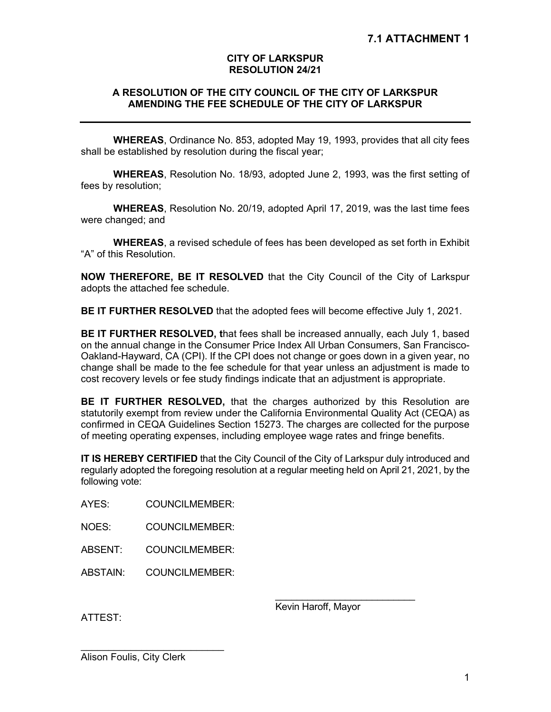## **CITY OF LARKSPUR RESOLUTION 24/21**

## **A RESOLUTION OF THE CITY COUNCIL OF THE CITY OF LARKSPUR AMENDING THE FEE SCHEDULE OF THE CITY OF LARKSPUR**

**WHEREAS**, Ordinance No. 853, adopted May 19, 1993, provides that all city fees shall be established by resolution during the fiscal year;

**WHEREAS**, Resolution No. 18/93, adopted June 2, 1993, was the first setting of fees by resolution;

**WHEREAS**, Resolution No. 20/19, adopted April 17, 2019, was the last time fees were changed; and

**WHEREAS**, a revised schedule of fees has been developed as set forth in Exhibit "A" of this Resolution.

**NOW THEREFORE, BE IT RESOLVED** that the City Council of the City of Larkspur adopts the attached fee schedule.

**BE IT FURTHER RESOLVED** that the adopted fees will become effective July 1, 2021.

**BE IT FURTHER RESOLVED, t**hat fees shall be increased annually, each July 1, based on the annual change in the Consumer Price Index All Urban Consumers, San Francisco-Oakland-Hayward, CA (CPI). If the CPI does not change or goes down in a given year, no change shall be made to the fee schedule for that year unless an adjustment is made to cost recovery levels or fee study findings indicate that an adjustment is appropriate.

**BE IT FURTHER RESOLVED,** that the charges authorized by this Resolution are statutorily exempt from review under the California Environmental Quality Act (CEQA) as confirmed in CEQA Guidelines Section 15273. The charges are collected for the purpose of meeting operating expenses, including employee wage rates and fringe benefits.

**IT IS HEREBY CERTIFIED** that the City Council of the City of Larkspur duly introduced and regularly adopted the foregoing resolution at a regular meeting held on April 21, 2021, by the following vote:

AYES: COUNCILMEMBER:

NOES: COUNCILMEMBER:

ABSENT: COUNCILMEMBER:

ABSTAIN: COUNCILMEMBER:

Kevin Haroff, Mayor

\_\_\_\_\_\_\_\_\_\_\_\_\_\_\_\_\_\_\_\_\_\_\_\_\_\_

ATTEST:

Alison Foulis, City Clerk

 $\frac{1}{2}$  , and the set of the set of the set of the set of the set of the set of the set of the set of the set of the set of the set of the set of the set of the set of the set of the set of the set of the set of the set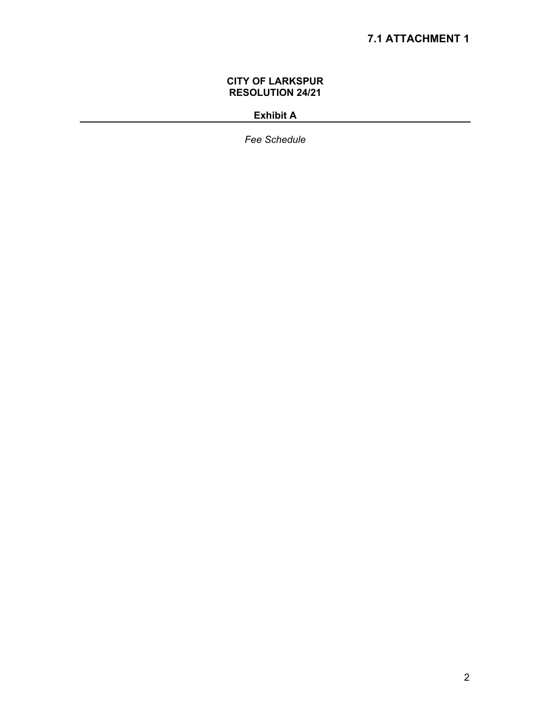## **CITY OF LARKSPUR RESOLUTION 24/21**

# **Exhibit A**

*Fee Schedule*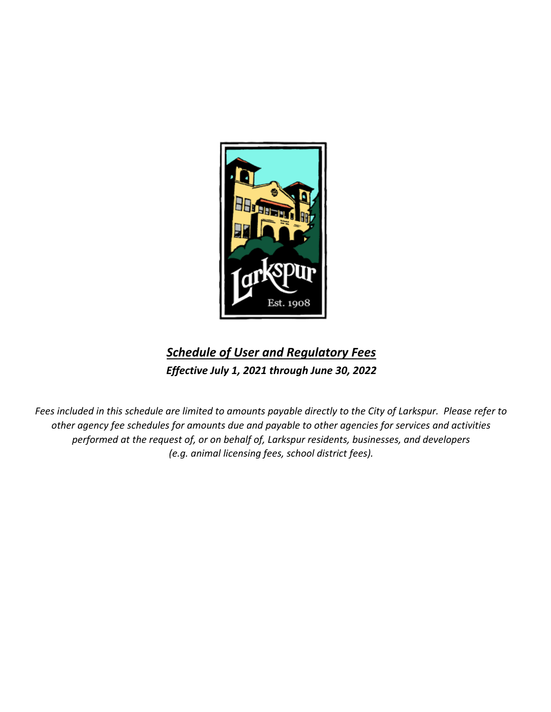

# *Schedule of User and Regulatory Fees Effective July 1, 2021 through June 30, 2022*

*Fees included in this schedule are limited to amounts payable directly to the City of Larkspur. Please refer to other agency fee schedules for amounts due and payable to other agencies for services and activities performed at the request of, or on behalf of, Larkspur residents, businesses, and developers (e.g. animal licensing fees, school district fees).*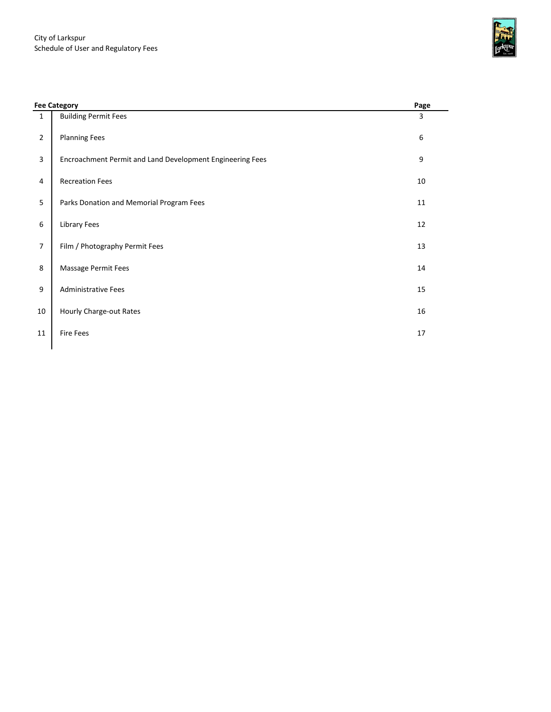

|                | <b>Fee Category</b>                                       | Page |
|----------------|-----------------------------------------------------------|------|
| $\mathbf{1}$   | <b>Building Permit Fees</b>                               | 3    |
| $\overline{2}$ | <b>Planning Fees</b>                                      | 6    |
| 3              | Encroachment Permit and Land Development Engineering Fees | 9    |
| 4              | <b>Recreation Fees</b>                                    | 10   |
| 5              | Parks Donation and Memorial Program Fees                  | 11   |
| 6              | <b>Library Fees</b>                                       | 12   |
| $\overline{7}$ | Film / Photography Permit Fees                            | 13   |
| 8              | Massage Permit Fees                                       | 14   |
| 9              | <b>Administrative Fees</b>                                | 15   |
| 10             | Hourly Charge-out Rates                                   | 16   |
| 11             | <b>Fire Fees</b>                                          | 17   |
|                |                                                           |      |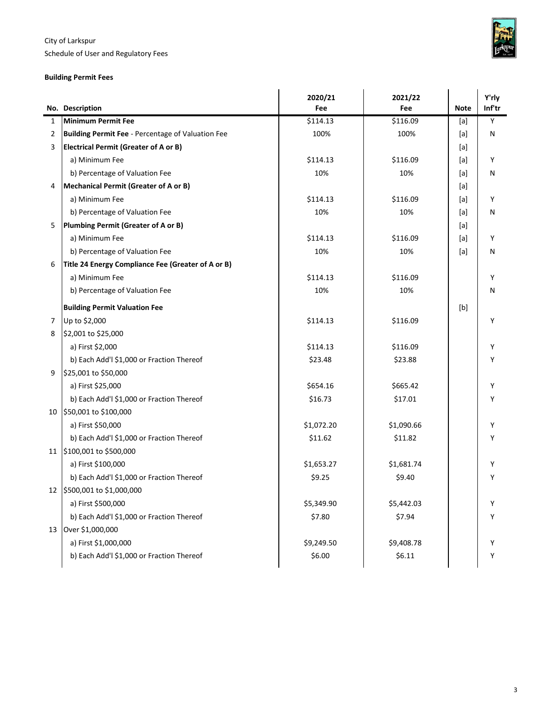Schedule of User and Regulatory Fees

## **Building Permit Fees**

|    |                                                          | 2020/21    | 2021/22    |             | Y'rly  |
|----|----------------------------------------------------------|------------|------------|-------------|--------|
|    | No. Description                                          | Fee        | Fee        | <b>Note</b> | Inf'tr |
| 1  | <b>Minimum Permit Fee</b>                                | \$114.13   | \$116.09   | [a]         | Υ      |
| 2  | <b>Building Permit Fee - Percentage of Valuation Fee</b> | 100%       | 100%       | [a]         | N      |
| 3  | <b>Electrical Permit (Greater of A or B)</b>             |            |            | [a]         |        |
|    | a) Minimum Fee                                           | \$114.13   | \$116.09   | [a]         | Υ      |
|    | b) Percentage of Valuation Fee                           | 10%        | 10%        | [a]         | N      |
| 4  | Mechanical Permit (Greater of A or B)                    |            |            | [a]         |        |
|    | a) Minimum Fee                                           | \$114.13   | \$116.09   | [a]         | Υ      |
|    | b) Percentage of Valuation Fee                           | 10%        | 10%        | [a]         | Ν      |
| 5  | Plumbing Permit (Greater of A or B)                      |            |            | [a]         |        |
|    | a) Minimum Fee                                           | \$114.13   | \$116.09   | [a]         | Υ      |
|    | b) Percentage of Valuation Fee                           | 10%        | 10%        | [a]         | N      |
| 6  | Title 24 Energy Compliance Fee (Greater of A or B)       |            |            |             |        |
|    | a) Minimum Fee                                           | \$114.13   | \$116.09   |             | Υ      |
|    | b) Percentage of Valuation Fee                           | 10%        | 10%        |             | N      |
|    | <b>Building Permit Valuation Fee</b>                     |            |            | [b]         |        |
| 7  | Up to \$2,000                                            | \$114.13   | \$116.09   |             | Υ      |
| 8  | \$2,001 to \$25,000                                      |            |            |             |        |
|    | a) First \$2,000                                         | \$114.13   | \$116.09   |             | Υ      |
|    | b) Each Add'l \$1,000 or Fraction Thereof                | \$23.48    | \$23.88    |             | Υ      |
| 9  | \$25,001 to \$50,000                                     |            |            |             |        |
|    | a) First \$25,000                                        | \$654.16   | \$665.42   |             | Υ      |
|    | b) Each Add'l \$1,000 or Fraction Thereof                | \$16.73    | \$17.01    |             | Υ      |
| 10 | \$50,001 to \$100,000                                    |            |            |             |        |
|    | a) First \$50,000                                        | \$1,072.20 | \$1,090.66 |             | Υ      |
|    | b) Each Add'l \$1,000 or Fraction Thereof                | \$11.62    | \$11.82    |             | Y      |
|    | 11 \$100,001 to \$500,000                                |            |            |             |        |
|    | a) First \$100,000                                       | \$1,653.27 | \$1,681.74 |             | Y      |
|    | b) Each Add'l \$1,000 or Fraction Thereof                | \$9.25     | \$9.40     |             | Υ      |
| 12 | \$500,001 to \$1,000,000                                 |            |            |             |        |
|    | a) First \$500,000                                       | \$5,349.90 | \$5,442.03 |             | Υ      |
|    | b) Each Add'l \$1,000 or Fraction Thereof                | \$7.80     | \$7.94     |             | Y      |
| 13 | Over \$1,000,000                                         |            |            |             |        |
|    | a) First \$1,000,000                                     | \$9,249.50 | \$9,408.78 |             | Υ      |
|    | b) Each Add'l \$1,000 or Fraction Thereof                | \$6.00     | \$6.11     |             | Υ      |
|    |                                                          |            |            |             |        |

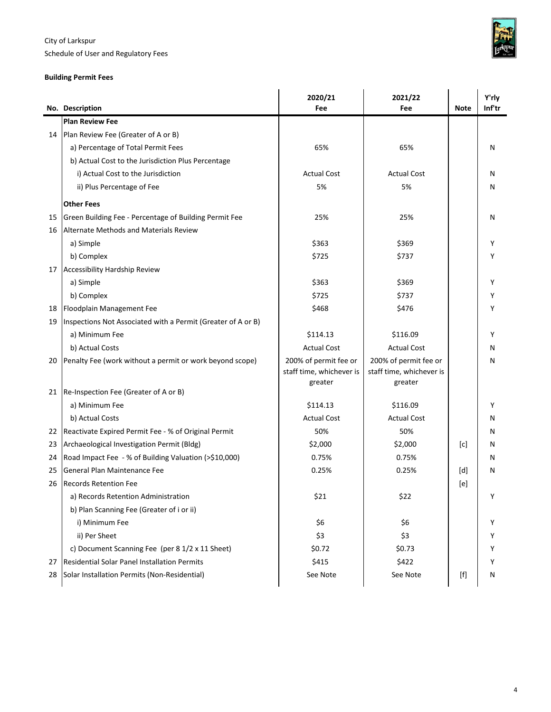Schedule of User and Regulatory Fees



## **Building Permit Fees**

|    |                                                              | 2020/21                  | 2021/22                  |                                                                                                                                                                                                                                                       | Y'rly  |
|----|--------------------------------------------------------------|--------------------------|--------------------------|-------------------------------------------------------------------------------------------------------------------------------------------------------------------------------------------------------------------------------------------------------|--------|
|    | No. Description                                              | Fee                      | Fee                      | <b>Note</b>                                                                                                                                                                                                                                           | Inf'tr |
|    | <b>Plan Review Fee</b>                                       |                          |                          |                                                                                                                                                                                                                                                       |        |
| 14 | Plan Review Fee (Greater of A or B)                          |                          |                          |                                                                                                                                                                                                                                                       |        |
|    | a) Percentage of Total Permit Fees                           | 65%                      | 65%                      |                                                                                                                                                                                                                                                       | N      |
|    | b) Actual Cost to the Jurisdiction Plus Percentage           |                          |                          |                                                                                                                                                                                                                                                       |        |
|    | i) Actual Cost to the Jurisdiction                           | <b>Actual Cost</b>       | <b>Actual Cost</b>       |                                                                                                                                                                                                                                                       | N      |
|    | ii) Plus Percentage of Fee                                   | 5%                       | 5%                       |                                                                                                                                                                                                                                                       | N      |
|    | <b>Other Fees</b>                                            |                          |                          |                                                                                                                                                                                                                                                       |        |
| 15 | Green Building Fee - Percentage of Building Permit Fee       | 25%                      | 25%                      |                                                                                                                                                                                                                                                       | N      |
| 16 | Alternate Methods and Materials Review                       |                          |                          |                                                                                                                                                                                                                                                       |        |
|    | a) Simple                                                    | \$363                    | \$369                    |                                                                                                                                                                                                                                                       | Υ      |
|    | b) Complex                                                   | \$725                    | \$737                    |                                                                                                                                                                                                                                                       | Υ      |
| 17 | <b>Accessibility Hardship Review</b>                         |                          |                          |                                                                                                                                                                                                                                                       |        |
|    | a) Simple                                                    | \$363                    | \$369                    |                                                                                                                                                                                                                                                       | Υ      |
|    | b) Complex                                                   | \$725                    | \$737                    |                                                                                                                                                                                                                                                       | Υ      |
| 18 | Floodplain Management Fee                                    | \$468                    | \$476                    |                                                                                                                                                                                                                                                       |        |
| 19 | Inspections Not Associated with a Permit (Greater of A or B) |                          |                          |                                                                                                                                                                                                                                                       |        |
|    | a) Minimum Fee                                               | \$114.13                 | \$116.09                 |                                                                                                                                                                                                                                                       | Υ      |
|    | b) Actual Costs                                              | <b>Actual Cost</b>       | <b>Actual Cost</b>       |                                                                                                                                                                                                                                                       | N      |
| 20 | Penalty Fee (work without a permit or work beyond scope)     | 200% of permit fee or    | 200% of permit fee or    |                                                                                                                                                                                                                                                       | N      |
|    |                                                              | staff time, whichever is | staff time, whichever is |                                                                                                                                                                                                                                                       |        |
| 21 | Re-Inspection Fee (Greater of A or B)                        | greater                  | greater                  |                                                                                                                                                                                                                                                       |        |
|    | a) Minimum Fee                                               | \$114.13                 | \$116.09                 |                                                                                                                                                                                                                                                       | Υ      |
|    | b) Actual Costs                                              | <b>Actual Cost</b>       | <b>Actual Cost</b>       |                                                                                                                                                                                                                                                       | N      |
| 22 | Reactivate Expired Permit Fee - % of Original Permit         | 50%                      | 50%                      |                                                                                                                                                                                                                                                       | N      |
| 23 | Archaeological Investigation Permit (Bldg)                   | \$2,000                  | \$2,000                  | [c]                                                                                                                                                                                                                                                   | N      |
| 24 | Road Impact Fee - % of Building Valuation (>\$10,000)        | 0.75%                    | 0.75%                    |                                                                                                                                                                                                                                                       | N      |
| 25 | General Plan Maintenance Fee                                 | 0.25%                    | 0.25%                    | [d]                                                                                                                                                                                                                                                   | Ν      |
| 26 | <b>Records Retention Fee</b>                                 |                          |                          | $[$ e $]$                                                                                                                                                                                                                                             |        |
|    | a) Records Retention Administration                          | \$21                     | \$22                     |                                                                                                                                                                                                                                                       | Υ      |
|    | b) Plan Scanning Fee (Greater of i or ii)                    |                          |                          |                                                                                                                                                                                                                                                       |        |
|    | i) Minimum Fee                                               | \$6                      | \$6                      |                                                                                                                                                                                                                                                       | Υ      |
|    | ii) Per Sheet                                                | \$3                      | \$3                      |                                                                                                                                                                                                                                                       | Υ      |
|    | c) Document Scanning Fee (per 8 1/2 x 11 Sheet)              | \$0.72                   | \$0.73                   |                                                                                                                                                                                                                                                       | Y      |
| 27 | Residential Solar Panel Installation Permits                 | \$415                    | \$422                    |                                                                                                                                                                                                                                                       | Υ      |
| 28 | Solar Installation Permits (Non-Residential)                 | See Note                 | See Note                 | $[f] % \begin{center} % \includegraphics[width=\linewidth]{imagesSupplemental_3.png} % \end{center} % \caption { % Our method can be used for the use of the image. % Note that the \emph{Left:} \label{fig:case} \vspace{-1em} % \label{fig:case} %$ | Ν      |
|    |                                                              |                          |                          |                                                                                                                                                                                                                                                       |        |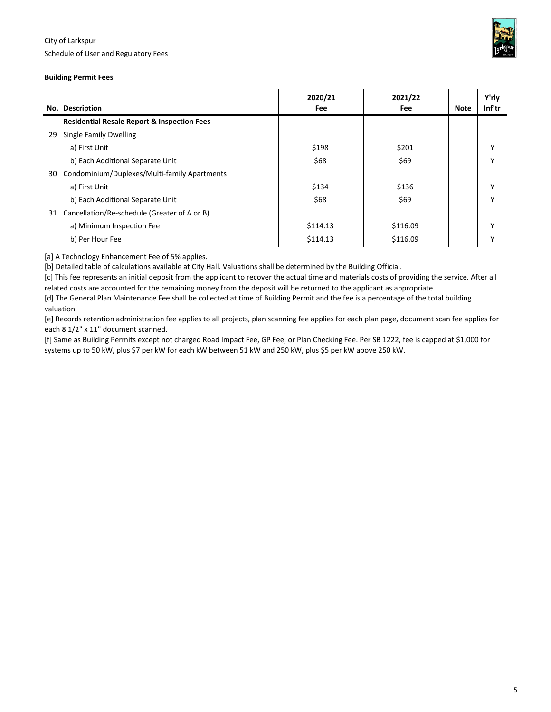



#### **Building Permit Fees**

|     |                                                        | 2020/21  | 2021/22  |             | Y'rly        |
|-----|--------------------------------------------------------|----------|----------|-------------|--------------|
| No. | <b>Description</b>                                     | Fee      | Fee      | <b>Note</b> | Inf'tr       |
|     | <b>Residential Resale Report &amp; Inspection Fees</b> |          |          |             |              |
| 29  | <b>Single Family Dwelling</b>                          |          |          |             |              |
|     | a) First Unit                                          | \$198    | \$201    |             | $\checkmark$ |
|     | b) Each Additional Separate Unit                       | \$68     | \$69     |             |              |
| 30  | Condominium/Duplexes/Multi-family Apartments           |          |          |             |              |
|     | a) First Unit                                          | \$134    | \$136    |             |              |
|     | b) Each Additional Separate Unit                       | \$68     | \$69     |             | $\checkmark$ |
| 31  | Cancellation/Re-schedule (Greater of A or B)           |          |          |             |              |
|     | a) Minimum Inspection Fee                              | \$114.13 | \$116.09 |             | $\checkmark$ |
|     | b) Per Hour Fee                                        | \$114.13 | \$116.09 |             |              |

[a] A Technology Enhancement Fee of 5% applies.

[b] Detailed table of calculations available at City Hall. Valuations shall be determined by the Building Official.

[c] This fee represents an initial deposit from the applicant to recover the actual time and materials costs of providing the service. After all related costs are accounted for the remaining money from the deposit will be returned to the applicant as appropriate.

[d] The General Plan Maintenance Fee shall be collected at time of Building Permit and the fee is a percentage of the total building valuation.

[e] Records retention administration fee applies to all projects, plan scanning fee applies for each plan page, document scan fee applies for each 8 1/2" x 11" document scanned.

[f] Same as Building Permits except not charged Road Impact Fee, GP Fee, or Plan Checking Fee. Per SB 1222, fee is capped at \$1,000 for systems up to 50 kW, plus \$7 per kW for each kW between 51 kW and 250 kW, plus \$5 per kW above 250 kW.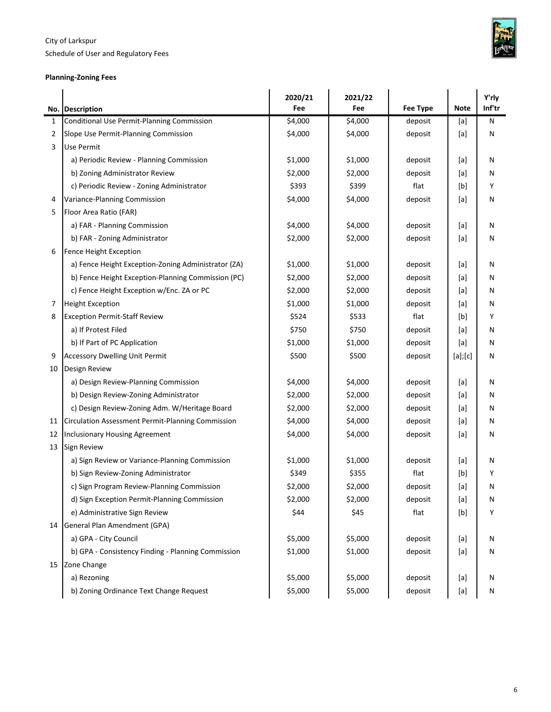Schedule of User and Regulatory Fees

## **Planning-Zoning Fees**

×



|    | No. Description                                     | 2020/21<br>Fee | 2021/22<br>Fee | <b>Fee Type</b> | <b>Note</b>                                                                                                                                                                                                                                                                                                                                                                                                                                                                                                                                                                         | Y'rly<br>Inf'tr |
|----|-----------------------------------------------------|----------------|----------------|-----------------|-------------------------------------------------------------------------------------------------------------------------------------------------------------------------------------------------------------------------------------------------------------------------------------------------------------------------------------------------------------------------------------------------------------------------------------------------------------------------------------------------------------------------------------------------------------------------------------|-----------------|
| 1  | Conditional Use Permit-Planning Commission          | \$4,000        | \$4,000        | deposit         | [a]                                                                                                                                                                                                                                                                                                                                                                                                                                                                                                                                                                                 | N               |
| 2  | Slope Use Permit-Planning Commission                | \$4,000        | \$4,000        | deposit         | [a]                                                                                                                                                                                                                                                                                                                                                                                                                                                                                                                                                                                 | Ν               |
| 3  | Use Permit                                          |                |                |                 |                                                                                                                                                                                                                                                                                                                                                                                                                                                                                                                                                                                     |                 |
|    | a) Periodic Review - Planning Commission            | \$1,000        | \$1,000        | deposit         | [a]                                                                                                                                                                                                                                                                                                                                                                                                                                                                                                                                                                                 | N               |
|    | b) Zoning Administrator Review                      | \$2,000        | \$2,000        | deposit         | [a]                                                                                                                                                                                                                                                                                                                                                                                                                                                                                                                                                                                 | N               |
|    | c) Periodic Review - Zoning Administrator           | \$393          | \$399          | flat            | [b]                                                                                                                                                                                                                                                                                                                                                                                                                                                                                                                                                                                 | Υ               |
| 4  | Variance-Planning Commission                        | \$4,000        | \$4,000        | deposit         | [a]                                                                                                                                                                                                                                                                                                                                                                                                                                                                                                                                                                                 | Ν               |
| 5  | Floor Area Ratio (FAR)                              |                |                |                 |                                                                                                                                                                                                                                                                                                                                                                                                                                                                                                                                                                                     |                 |
|    | a) FAR - Planning Commission                        | \$4,000        | \$4,000        | deposit         | [a]                                                                                                                                                                                                                                                                                                                                                                                                                                                                                                                                                                                 | N               |
|    | b) FAR - Zoning Administrator                       | \$2,000        | \$2,000        | deposit         | [a]                                                                                                                                                                                                                                                                                                                                                                                                                                                                                                                                                                                 | N               |
| 6  | <b>Fence Height Exception</b>                       |                |                |                 |                                                                                                                                                                                                                                                                                                                                                                                                                                                                                                                                                                                     |                 |
|    | a) Fence Height Exception-Zoning Administrator (ZA) | \$1,000        | \$1,000        | deposit         | [a]                                                                                                                                                                                                                                                                                                                                                                                                                                                                                                                                                                                 | N               |
|    | b) Fence Height Exception-Planning Commission (PC)  | \$2,000        | \$2,000        | deposit         | [a]                                                                                                                                                                                                                                                                                                                                                                                                                                                                                                                                                                                 | N               |
|    | c) Fence Height Exception w/Enc. ZA or PC           | \$2,000        | \$2,000        | deposit         | [a]                                                                                                                                                                                                                                                                                                                                                                                                                                                                                                                                                                                 | N               |
| 7  | <b>Height Exception</b>                             | \$1,000        | \$1,000        | deposit         | [a]                                                                                                                                                                                                                                                                                                                                                                                                                                                                                                                                                                                 | N               |
| 8  | <b>Exception Permit-Staff Review</b>                | \$524          | \$533          | flat            | [b]                                                                                                                                                                                                                                                                                                                                                                                                                                                                                                                                                                                 | Υ               |
|    | a) If Protest Filed                                 | \$750          | \$750          | deposit         | [a]                                                                                                                                                                                                                                                                                                                                                                                                                                                                                                                                                                                 | N               |
|    | b) If Part of PC Application                        | \$1,000        | \$1,000        | deposit         | [a]                                                                                                                                                                                                                                                                                                                                                                                                                                                                                                                                                                                 | N               |
| 9  | <b>Accessory Dwelling Unit Permit</b>               | \$500          | \$500          | deposit         | [a][c]                                                                                                                                                                                                                                                                                                                                                                                                                                                                                                                                                                              | N               |
| 10 | Design Review                                       |                |                |                 |                                                                                                                                                                                                                                                                                                                                                                                                                                                                                                                                                                                     |                 |
|    | a) Design Review-Planning Commission                | \$4,000        | \$4,000        | deposit         | [a]                                                                                                                                                                                                                                                                                                                                                                                                                                                                                                                                                                                 | N               |
|    | b) Design Review-Zoning Administrator               | \$2,000        | \$2,000        | deposit         | [a]                                                                                                                                                                                                                                                                                                                                                                                                                                                                                                                                                                                 | N               |
|    | c) Design Review-Zoning Adm. W/Heritage Board       | \$2,000        | \$2,000        | deposit         | [a]                                                                                                                                                                                                                                                                                                                                                                                                                                                                                                                                                                                 | N               |
| 11 | Circulation Assessment Permit-Planning Commission   | \$4,000        | \$4,000        | deposit         | [a]                                                                                                                                                                                                                                                                                                                                                                                                                                                                                                                                                                                 | N               |
| 12 | Inclusionary Housing Agreement                      | \$4,000        | \$4,000        | deposit         | [a]                                                                                                                                                                                                                                                                                                                                                                                                                                                                                                                                                                                 | N               |
| 13 | Sign Review                                         |                |                |                 |                                                                                                                                                                                                                                                                                                                                                                                                                                                                                                                                                                                     |                 |
|    | a) Sign Review or Variance-Planning Commission      | \$1,000        | \$1,000        | deposit         | [a]                                                                                                                                                                                                                                                                                                                                                                                                                                                                                                                                                                                 | N               |
|    | b) Sign Review-Zoning Administrator                 | \$349          | \$355          | flat            | [b]                                                                                                                                                                                                                                                                                                                                                                                                                                                                                                                                                                                 | Υ               |
|    | c) Sign Program Review-Planning Commission          | \$2,000        | \$2,000        | deposit         | [a]                                                                                                                                                                                                                                                                                                                                                                                                                                                                                                                                                                                 | Ν               |
|    | d) Sign Exception Permit-Planning Commission        | \$2,000        | \$2,000        | deposit         | $[{\sf a}]$                                                                                                                                                                                                                                                                                                                                                                                                                                                                                                                                                                         | Ν               |
|    | e) Administrative Sign Review                       | \$44           | \$45           | flat            | $[b] % \begin{center} % \includegraphics[width=\linewidth]{imagesSupplemental_3.png} % \end{center} % \caption { % \textit{DefNet} of \textit{DefNet} and \textit{DefNet} of \textit{DefNet} and \textit{DefNet} of \textit{DefNet} and \textit{DefNet} of \textit{DefNet} and \textit{DefNet} of \textit{DefNet} and \textit{DefNet} of \textit{DefNet} and \textit{DefNet} of \textit{DefNet} and \textit{DefNet} of \textit{DefNet} and \textit{DefNet} of \textit{DefNet} and \textit{DefNet} of \textit{DefNet} and \textit{DefNet} of \textit{DefNet} and \textit{DefNet} of$ | Υ               |
| 14 | General Plan Amendment (GPA)                        |                |                |                 |                                                                                                                                                                                                                                                                                                                                                                                                                                                                                                                                                                                     |                 |
|    | a) GPA - City Council                               | \$5,000        | \$5,000        | deposit         | [a]                                                                                                                                                                                                                                                                                                                                                                                                                                                                                                                                                                                 | Ν               |
|    | b) GPA - Consistency Finding - Planning Commission  | \$1,000        | \$1,000        | deposit         | $[{\sf a}]$                                                                                                                                                                                                                                                                                                                                                                                                                                                                                                                                                                         | Ν               |
| 15 | Zone Change                                         |                |                |                 |                                                                                                                                                                                                                                                                                                                                                                                                                                                                                                                                                                                     |                 |
|    | a) Rezoning                                         | \$5,000        | \$5,000        | deposit         | [a]                                                                                                                                                                                                                                                                                                                                                                                                                                                                                                                                                                                 | N               |
|    | b) Zoning Ordinance Text Change Request             | \$5,000        | \$5,000        | deposit         | $[{\sf a}]$                                                                                                                                                                                                                                                                                                                                                                                                                                                                                                                                                                         | N               |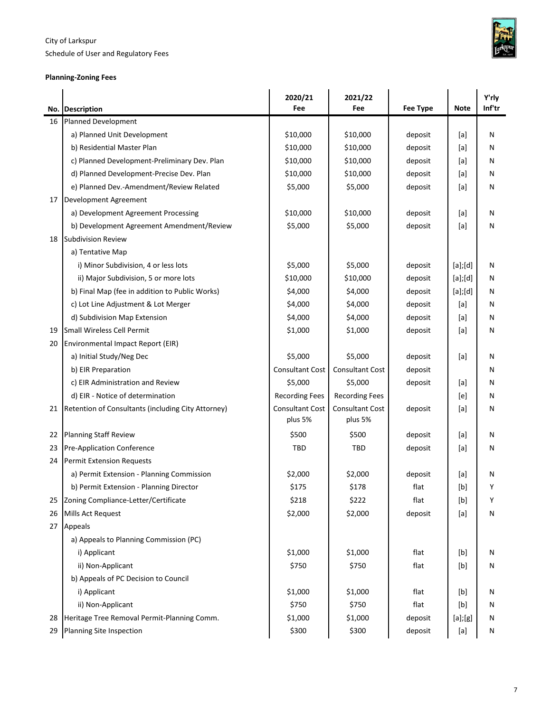Schedule of User and Regulatory Fees



## **Planning-Zoning Fees**

|    |                                                    | 2020/21                           | 2021/22                           |                 |               | Y'rly  |
|----|----------------------------------------------------|-----------------------------------|-----------------------------------|-----------------|---------------|--------|
|    | No. Description                                    | Fee                               | Fee                               | <b>Fee Type</b> | <b>Note</b>   | Inf'tr |
| 16 | Planned Development                                |                                   | \$10,000                          |                 |               |        |
|    | a) Planned Unit Development                        | \$10,000                          |                                   | deposit         | [a]           | Ν      |
|    | b) Residential Master Plan                         | \$10,000                          | \$10,000                          | deposit         | [a]           | Ν      |
|    | c) Planned Development-Preliminary Dev. Plan       | \$10,000                          | \$10,000                          | deposit         | [a]           | Ν      |
|    | d) Planned Development-Precise Dev. Plan           | \$10,000                          | \$10,000                          | deposit         | [a]           | Ν      |
|    | e) Planned Dev.-Amendment/Review Related           | \$5,000                           | \$5,000                           | deposit         | [a]           | Ν      |
| 17 | Development Agreement                              |                                   |                                   |                 |               |        |
|    | a) Development Agreement Processing                | \$10,000                          | \$10,000                          | deposit         | [a]           | Ν      |
|    | b) Development Agreement Amendment/Review          | \$5,000                           | \$5,000                           | deposit         | [a]           | N      |
| 18 | Subdivision Review                                 |                                   |                                   |                 |               |        |
|    | a) Tentative Map                                   |                                   |                                   |                 |               |        |
|    | i) Minor Subdivision, 4 or less lots               | \$5,000                           | \$5,000                           | deposit         | $[a]$ ; $[d]$ | Ν      |
|    | ii) Major Subdivision, 5 or more lots              | \$10,000                          | \$10,000                          | deposit         | [a][d]        | Ν      |
|    | b) Final Map (fee in addition to Public Works)     | \$4,000                           | \$4,000                           | deposit         | [a][d]        | N      |
|    | c) Lot Line Adjustment & Lot Merger                | \$4,000                           | \$4,000                           | deposit         | [a]           | Ν      |
|    | d) Subdivision Map Extension                       | \$4,000                           | \$4,000                           | deposit         | [a]           | Ν      |
| 19 | Small Wireless Cell Permit                         | \$1,000                           | \$1,000                           | deposit         | [a]           | Ν      |
| 20 | Environmental Impact Report (EIR)                  |                                   |                                   |                 |               |        |
|    | a) Initial Study/Neg Dec                           | \$5,000                           | \$5,000                           | deposit         | [a]           | Ν      |
|    | b) EIR Preparation                                 | Consultant Cost                   | <b>Consultant Cost</b>            | deposit         |               | Ν      |
|    | c) EIR Administration and Review                   | \$5,000                           | \$5,000                           | deposit         | [a]           | N      |
|    | d) EIR - Notice of determination                   | <b>Recording Fees</b>             | <b>Recording Fees</b>             |                 | [e]           | Ν      |
| 21 | Retention of Consultants (including City Attorney) | <b>Consultant Cost</b><br>plus 5% | <b>Consultant Cost</b><br>plus 5% | deposit         | [a]           | Ν      |
| 22 | <b>Planning Staff Review</b>                       | \$500                             | \$500                             | deposit         | [a]           | Ν      |
| 23 | <b>Pre-Application Conference</b>                  | TBD                               | TBD                               | deposit         | [a]           | Ν      |
| 24 | <b>Permit Extension Requests</b>                   |                                   |                                   |                 |               |        |
|    | a) Permit Extension - Planning Commission          | \$2,000                           | \$2,000                           | deposit         | [a]           | N      |
|    | b) Permit Extension - Planning Director            | Ş175                              | \$178                             | flat            | [b]           | Υ      |
| 25 | Zoning Compliance-Letter/Certificate               | \$218                             | \$222                             | flat            | [b]           | Υ      |
| 26 | Mills Act Request                                  | \$2,000                           | \$2,000                           | deposit         | $[{\sf a}]$   | N      |
| 27 | Appeals                                            |                                   |                                   |                 |               |        |
|    | a) Appeals to Planning Commission (PC)             |                                   |                                   |                 |               |        |
|    | i) Applicant                                       | \$1,000                           | \$1,000                           | flat            | [b]           | Ν      |
|    | ii) Non-Applicant                                  | \$750                             | \$750                             | flat            | [b]           | Ν      |
|    | b) Appeals of PC Decision to Council               |                                   |                                   |                 |               |        |
|    | i) Applicant                                       | \$1,000                           | \$1,000                           | flat            | [b]           | Ν      |
|    | ii) Non-Applicant                                  | \$750                             | \$750                             | flat            | [b]           | Ν      |
| 28 | Heritage Tree Removal Permit-Planning Comm.        | \$1,000                           | \$1,000                           | deposit         | $[a]$ ; $[g]$ | N      |
| 29 | Planning Site Inspection                           | \$300                             | \$300                             | deposit         | $[{\sf a}]$   | N      |
|    |                                                    |                                   |                                   |                 |               |        |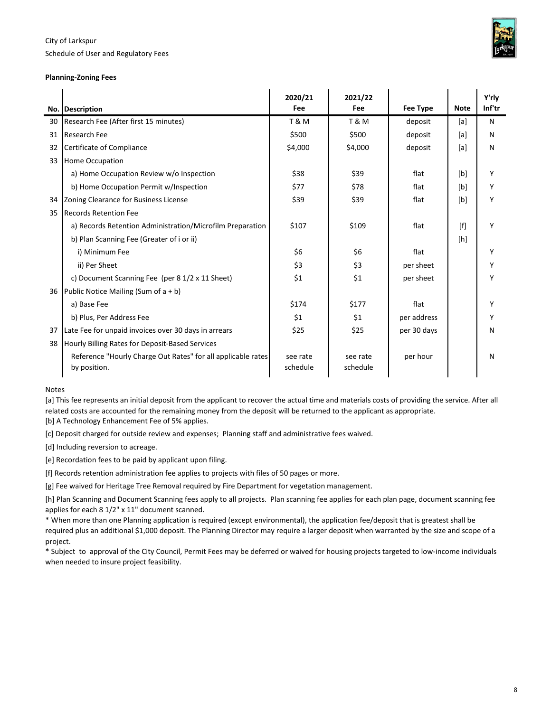Schedule of User and Regulatory Fees



#### **Planning-Zoning Fees**

|    |                                                                              | 2020/21              | 2021/22              |                 |             | Y'rlv  |
|----|------------------------------------------------------------------------------|----------------------|----------------------|-----------------|-------------|--------|
|    | No. Description                                                              | Fee                  | Fee                  | <b>Fee Type</b> | <b>Note</b> | Inf'tr |
| 30 | Research Fee (After first 15 minutes)                                        | T & M                | T & M                | deposit         | [a]         | N      |
| 31 | Research Fee                                                                 | \$500                | \$500                | deposit         | [a]         | N      |
| 32 | Certificate of Compliance                                                    | \$4,000              | \$4,000              | deposit         | [a]         | N      |
| 33 | <b>Home Occupation</b>                                                       |                      |                      |                 |             |        |
|    | a) Home Occupation Review w/o Inspection                                     | \$38                 | \$39                 | flat            | [b]         | Υ      |
|    | b) Home Occupation Permit w/Inspection                                       | \$77                 | \$78                 | flat            | [b]         | Υ      |
| 34 | Zoning Clearance for Business License                                        | \$39                 | \$39                 | flat            | [b]         | Υ      |
| 35 | <b>Records Retention Fee</b>                                                 |                      |                      |                 |             |        |
|    | a) Records Retention Administration/Microfilm Preparation                    | \$107                | \$109                | flat            | [f]         | Υ      |
|    | b) Plan Scanning Fee (Greater of i or ii)                                    |                      |                      |                 | [h]         |        |
|    | i) Minimum Fee                                                               | \$6                  | \$6                  | flat            |             | Υ      |
|    | ii) Per Sheet                                                                | \$3                  | \$3                  | per sheet       |             | Υ      |
|    | c) Document Scanning Fee (per 8 1/2 x 11 Sheet)                              | \$1                  | \$1                  | per sheet       |             | Υ      |
| 36 | Public Notice Mailing (Sum of $a + b$ )                                      |                      |                      |                 |             |        |
|    | a) Base Fee                                                                  | \$174                | \$177                | flat            |             | Y      |
|    | b) Plus, Per Address Fee                                                     | \$1                  | \$1                  | per address     |             | Υ      |
| 37 | Late Fee for unpaid invoices over 30 days in arrears                         | \$25                 | \$25                 | per 30 days     |             | N      |
| 38 | Hourly Billing Rates for Deposit-Based Services                              |                      |                      |                 |             |        |
|    | Reference "Hourly Charge Out Rates" for all applicable rates<br>by position. | see rate<br>schedule | see rate<br>schedule | per hour        |             | N      |
|    |                                                                              |                      |                      |                 |             |        |

Notes

[a] This fee represents an initial deposit from the applicant to recover the actual time and materials costs of providing the service. After all related costs are accounted for the remaining money from the deposit will be returned to the applicant as appropriate. [b] A Technology Enhancement Fee of 5% applies.

[c] Deposit charged for outside review and expenses; Planning staff and administrative fees waived.

[d] Including reversion to acreage.

[e] Recordation fees to be paid by applicant upon filing.

[f] Records retention administration fee applies to projects with files of 50 pages or more.

[g] Fee waived for Heritage Tree Removal required by Fire Department for vegetation management.

[h] Plan Scanning and Document Scanning fees apply to all projects. Plan scanning fee applies for each plan page, document scanning fee applies for each 8 1/2" x 11" document scanned.

\* When more than one Planning application is required (except environmental), the application fee/deposit that is greatest shall be required plus an additional \$1,000 deposit. The Planning Director may require a larger deposit when warranted by the size and scope of a

project. \* Subject to approval of the City Council, Permit Fees may be deferred or waived for housing projects targeted to low-income individuals when needed to insure project feasibility.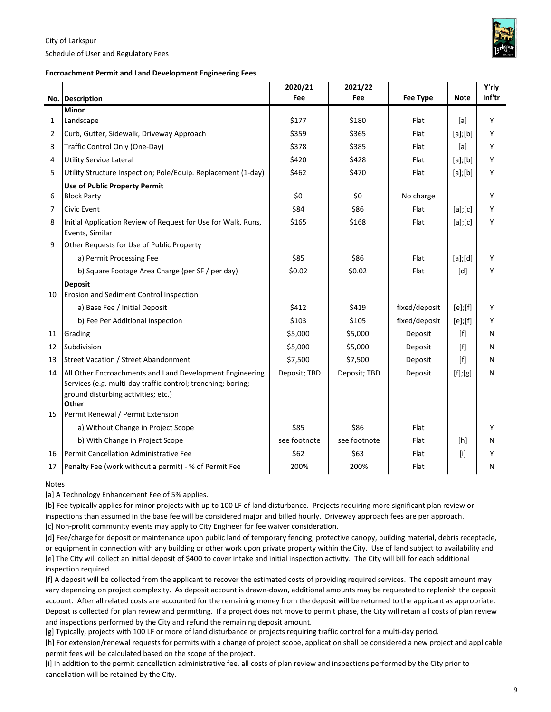Schedule of User and Regulatory Fees

#### **Encroachment Permit and Land Development Engineering Fees**

|              |                                                                                                                                                                          | 2020/21      | 2021/22      |                 |                                                                                                                                                                                                  | Y'rly  |
|--------------|--------------------------------------------------------------------------------------------------------------------------------------------------------------------------|--------------|--------------|-----------------|--------------------------------------------------------------------------------------------------------------------------------------------------------------------------------------------------|--------|
|              | No. Description                                                                                                                                                          | Fee          | Fee          | <b>Fee Type</b> | <b>Note</b>                                                                                                                                                                                      | Inf'tr |
|              | <b>Minor</b>                                                                                                                                                             |              |              |                 |                                                                                                                                                                                                  |        |
| $\mathbf{1}$ | Landscape                                                                                                                                                                | \$177        | \$180        | Flat            | [a]                                                                                                                                                                                              | Υ      |
| 2            | Curb, Gutter, Sidewalk, Driveway Approach                                                                                                                                | \$359        | \$365        | Flat            | $[a]$ ; $[b]$                                                                                                                                                                                    | Y      |
| 3            | Traffic Control Only (One-Day)                                                                                                                                           | \$378        | \$385        | Flat            | [a]                                                                                                                                                                                              | Y      |
| 4            | <b>Utility Service Lateral</b>                                                                                                                                           | \$420        | \$428        | Flat            | $[a]$ ; $[b]$                                                                                                                                                                                    | Y      |
| 5            | Utility Structure Inspection; Pole/Equip. Replacement (1-day)                                                                                                            | \$462        | \$470        | Flat            | $[a]$ ; $[b]$                                                                                                                                                                                    | Υ      |
|              | <b>Use of Public Property Permit</b>                                                                                                                                     |              |              |                 |                                                                                                                                                                                                  |        |
| 6            | <b>Block Party</b>                                                                                                                                                       | \$0          | \$0          | No charge       |                                                                                                                                                                                                  | Y      |
| 7            | <b>Civic Event</b>                                                                                                                                                       | \$84         | \$86         | Flat            | $[a]$ ; $[c]$                                                                                                                                                                                    | Υ      |
| 8            | Initial Application Review of Request for Use for Walk, Runs,<br>Events, Similar                                                                                         | \$165        | \$168        | Flat            | $[a]$ ; $[c]$                                                                                                                                                                                    | Y      |
| 9            | Other Requests for Use of Public Property                                                                                                                                |              |              |                 |                                                                                                                                                                                                  |        |
|              | a) Permit Processing Fee                                                                                                                                                 | \$85         | \$86         | Flat            | [a][d]                                                                                                                                                                                           | Y      |
|              | b) Square Footage Area Charge (per SF / per day)                                                                                                                         | \$0.02       | \$0.02       | Flat            | [d]                                                                                                                                                                                              | Y      |
|              | <b>Deposit</b>                                                                                                                                                           |              |              |                 |                                                                                                                                                                                                  |        |
| 10           | Erosion and Sediment Control Inspection                                                                                                                                  |              |              |                 |                                                                                                                                                                                                  |        |
|              | a) Base Fee / Initial Deposit                                                                                                                                            | \$412        | \$419        | fixed/deposit   | $[e]$ ;[f]                                                                                                                                                                                       | Υ      |
|              | b) Fee Per Additional Inspection                                                                                                                                         | \$103        | \$105        | fixed/deposit   | $[e]$ ;[f]                                                                                                                                                                                       | Y      |
| 11           | Grading                                                                                                                                                                  | \$5,000      | \$5,000      | Deposit         | $[f] % \begin{center} % \includegraphics[width=\linewidth]{imagesSupplemental_3.png} % \end{center} % \caption { % Our method can be used for the use of the image. % } % \label{fig:example} %$ | N      |
| 12           | Subdivision                                                                                                                                                              | \$5,000      | \$5,000      | Deposit         | $[f] % \begin{center} % \includegraphics[width=\linewidth]{imagesSupplemental_3.png} % \end{center} % \caption { % Our method can be used for the use of the image. % } % \label{fig:example} %$ | N      |
| 13           | <b>Street Vacation / Street Abandonment</b>                                                                                                                              | \$7,500      | \$7,500      | Deposit         | $[f]$                                                                                                                                                                                            | N      |
| 14           | All Other Encroachments and Land Development Engineering<br>Services (e.g. multi-day traffic control; trenching; boring;<br>ground disturbing activities; etc.)<br>Other | Deposit; TBD | Deposit; TBD | Deposit         | [f];[g]                                                                                                                                                                                          | N      |
| 15           | Permit Renewal / Permit Extension                                                                                                                                        |              |              |                 |                                                                                                                                                                                                  |        |
|              | a) Without Change in Project Scope                                                                                                                                       | \$85         | \$86         | Flat            |                                                                                                                                                                                                  | Y      |
|              | b) With Change in Project Scope                                                                                                                                          | see footnote | see footnote | Flat            | [h]                                                                                                                                                                                              | N      |
| 16           | Permit Cancellation Administrative Fee                                                                                                                                   | \$62         | \$63         | Flat            | [i]                                                                                                                                                                                              | Υ      |
| 17           | Penalty Fee (work without a permit) - % of Permit Fee                                                                                                                    | 200%         | 200%         | Flat            |                                                                                                                                                                                                  | Ν      |

#### Notes

[a] A Technology Enhancement Fee of 5% applies.

[b] Fee typically applies for minor projects with up to 100 LF of land disturbance. Projects requiring more significant plan review or inspections than assumed in the base fee will be considered major and billed hourly. Driveway approach fees are per approach. [c] Non-profit community events may apply to City Engineer for fee waiver consideration.

[d] Fee/charge for deposit or maintenance upon public land of temporary fencing, protective canopy, building material, debris receptacle, or equipment in connection with any building or other work upon private property within the City. Use of land subject to availability and [e] The City will collect an initial deposit of \$400 to cover intake and initial inspection activity. The City will bill for each additional inspection required.

[f] A deposit will be collected from the applicant to recover the estimated costs of providing required services. The deposit amount may vary depending on project complexity. As deposit account is drawn-down, additional amounts may be requested to replenish the deposit account. After all related costs are accounted for the remaining money from the deposit will be returned to the applicant as appropriate. Deposit is collected for plan review and permitting. If a project does not move to permit phase, the City will retain all costs of plan review and inspections performed by the City and refund the remaining deposit amount.

[g] Typically, projects with 100 LF or more of land disturbance or projects requiring traffic control for a multi-day period.

[h] For extension/renewal requests for permits with a change of project scope, application shall be considered a new project and applicable permit fees will be calculated based on the scope of the project.

[i] In addition to the permit cancellation administrative fee, all costs of plan review and inspections performed by the City prior to cancellation will be retained by the City.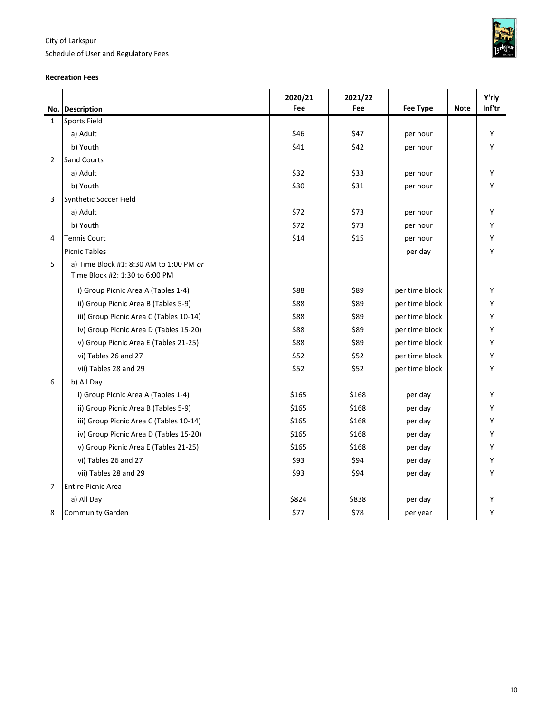Schedule of User and Regulatory Fees



#### **Recreation Fees**

|              |                                         | 2020/21 | 2021/22 |                |             | Y'rly  |
|--------------|-----------------------------------------|---------|---------|----------------|-------------|--------|
|              | No. Description                         | Fee     | Fee     | Fee Type       | <b>Note</b> | Inf'tr |
| $\mathbf{1}$ | <b>Sports Field</b>                     |         |         |                |             |        |
|              | a) Adult                                | \$46    | \$47    | per hour       |             | Y      |
|              | b) Youth                                | \$41    | \$42    | per hour       |             | Y      |
| 2            | <b>Sand Courts</b>                      |         |         |                |             |        |
|              | a) Adult                                | \$32    | \$33    | per hour       |             | Y      |
|              | b) Youth                                | \$30    | \$31    | per hour       |             | Υ      |
| 3            | Synthetic Soccer Field                  |         |         |                |             |        |
|              | a) Adult                                | \$72    | \$73    | per hour       |             | Y      |
|              | b) Youth                                | \$72    | \$73    | per hour       |             | Y      |
| 4            | <b>Tennis Court</b>                     | \$14    | \$15    | per hour       |             | Y      |
|              | <b>Picnic Tables</b>                    |         |         | per day        |             | Y      |
| 5            | a) Time Block #1: 8:30 AM to 1:00 PM or |         |         |                |             |        |
|              | Time Block #2: 1:30 to 6:00 PM          |         |         |                |             |        |
|              | i) Group Picnic Area A (Tables 1-4)     | \$88    | \$89    | per time block |             | Y      |
|              | ii) Group Picnic Area B (Tables 5-9)    | \$88    | \$89    | per time block |             | Y      |
|              | iii) Group Picnic Area C (Tables 10-14) | \$88    | \$89    | per time block |             | Y      |
|              | iv) Group Picnic Area D (Tables 15-20)  | \$88    | \$89    | per time block |             | Y      |
|              | v) Group Picnic Area E (Tables 21-25)   | \$88    | \$89    | per time block |             | Υ      |
|              | vi) Tables 26 and 27                    | \$52    | \$52    | per time block |             | Υ      |
|              | vii) Tables 28 and 29                   | \$52    | \$52    | per time block |             | Υ      |
| 6            | b) All Day                              |         |         |                |             |        |
|              | i) Group Picnic Area A (Tables 1-4)     | \$165   | \$168   | per day        |             | Υ      |
|              | ii) Group Picnic Area B (Tables 5-9)    | \$165   | \$168   | per day        |             | Y      |
|              | iii) Group Picnic Area C (Tables 10-14) | \$165   | \$168   | per day        |             | Υ      |
|              | iv) Group Picnic Area D (Tables 15-20)  | \$165   | \$168   | per day        |             | Υ      |
|              | v) Group Picnic Area E (Tables 21-25)   | \$165   | \$168   | per day        |             | Υ      |
|              | vi) Tables 26 and 27                    | \$93    | \$94    | per day        |             | Υ      |
|              | vii) Tables 28 and 29                   | \$93    | \$94    | per day        |             | Υ      |
| 7            | <b>Entire Picnic Area</b>               |         |         |                |             |        |
|              | a) All Day                              | \$824   | \$838   | per day        |             | Υ      |
| 8            | Community Garden                        | \$77    | \$78    | per year       |             | Υ      |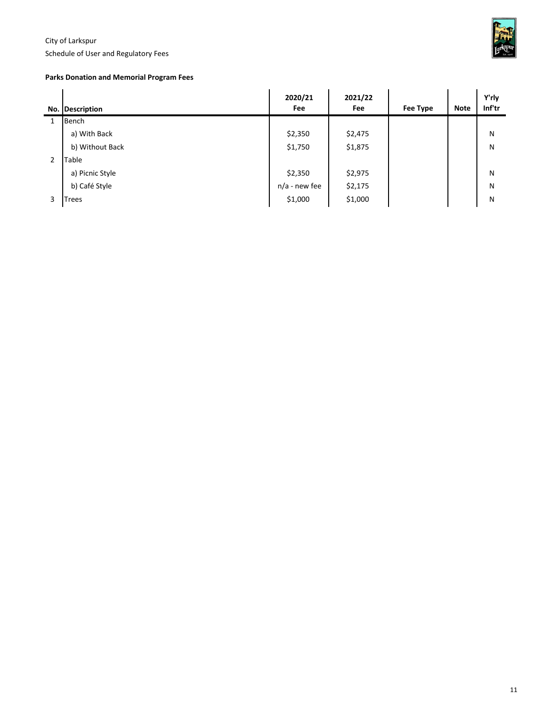Schedule of User and Regulatory Fees



#### **Parks Donation and Memorial Program Fees**

|                | No. Description | 2020/21<br>Fee  | 2021/22<br>Fee | Fee Type | <b>Note</b> | Y'rly<br>Inf'tr |
|----------------|-----------------|-----------------|----------------|----------|-------------|-----------------|
|                | Bench           |                 |                |          |             |                 |
|                | a) With Back    | \$2,350         | \$2,475        |          |             | N               |
|                | b) Without Back | \$1,750         | \$1,875        |          |             | N               |
| $\overline{2}$ | Table           |                 |                |          |             |                 |
|                | a) Picnic Style | \$2,350         | \$2,975        |          |             | N               |
|                | b) Café Style   | $n/a$ - new fee | \$2,175        |          |             | N               |
| 3              | Trees           | \$1,000         | \$1,000        |          |             | N               |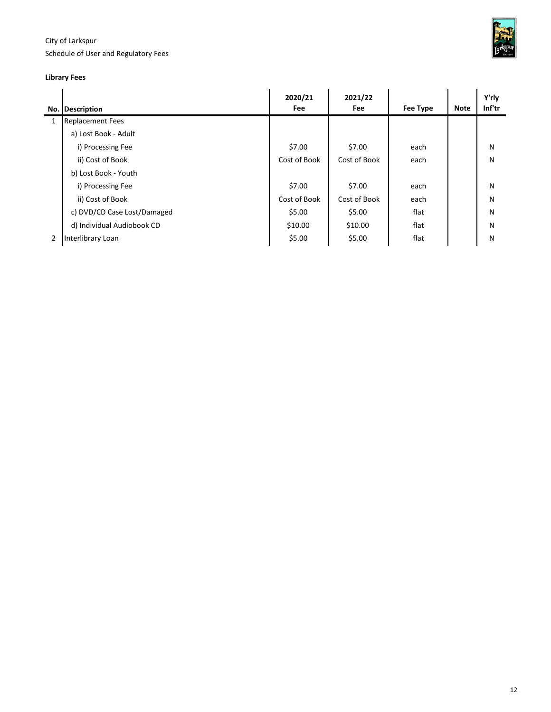Schedule of User and Regulatory Fees



## **Library Fees**

|   | No. Description             | 2020/21<br>Fee | 2021/22<br>Fee | Fee Type | <b>Note</b> | Y'rly<br>Inf'tr |
|---|-----------------------------|----------------|----------------|----------|-------------|-----------------|
| 1 | <b>Replacement Fees</b>     |                |                |          |             |                 |
|   | a) Lost Book - Adult        |                |                |          |             |                 |
|   | i) Processing Fee           | \$7.00         | \$7.00         | each     |             | N               |
|   | ii) Cost of Book            | Cost of Book   | Cost of Book   | each     |             | N               |
|   | b) Lost Book - Youth        |                |                |          |             |                 |
|   | i) Processing Fee           | \$7.00         | \$7.00         | each     |             | N               |
|   | ii) Cost of Book            | Cost of Book   | Cost of Book   | each     |             | N               |
|   | c) DVD/CD Case Lost/Damaged | \$5.00         | \$5.00         | flat     |             | N               |
|   | d) Individual Audiobook CD  | \$10.00        | \$10.00        | flat     |             | N               |
| 2 | Interlibrary Loan           | \$5.00         | \$5.00         | flat     |             | N               |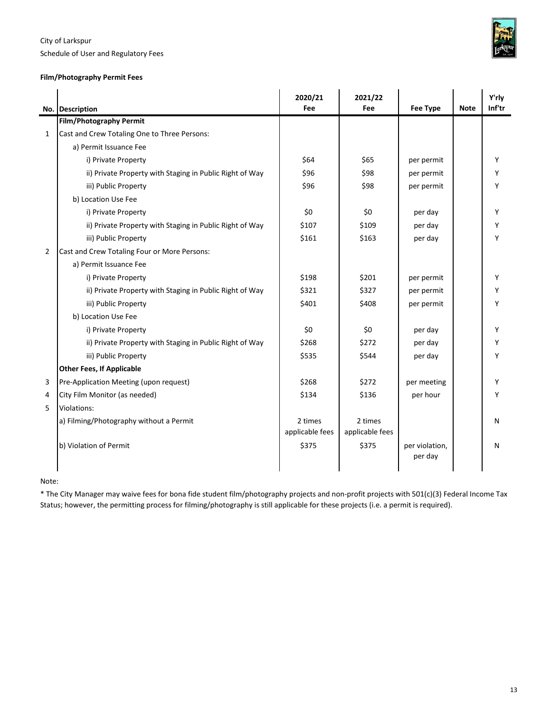

Schedule of User and Regulatory Fees

## **Film/Photography Permit Fees**

|                | No. Description                                          | 2020/21<br>Fee             | 2021/22<br>Fee             | Fee Type                  | <b>Note</b> | Y'rly<br>Inf'tr |
|----------------|----------------------------------------------------------|----------------------------|----------------------------|---------------------------|-------------|-----------------|
|                | <b>Film/Photography Permit</b>                           |                            |                            |                           |             |                 |
| $\mathbf{1}$   | Cast and Crew Totaling One to Three Persons:             |                            |                            |                           |             |                 |
|                | a) Permit Issuance Fee                                   |                            |                            |                           |             |                 |
|                | i) Private Property                                      | \$64                       | \$65                       | per permit                |             | Υ               |
|                | ii) Private Property with Staging in Public Right of Way | \$96                       | \$98                       | per permit                |             | Y               |
|                | iii) Public Property                                     | \$96                       | \$98                       | per permit                |             | Υ               |
|                | b) Location Use Fee                                      |                            |                            |                           |             |                 |
|                | i) Private Property                                      | \$0                        | \$0                        | per day                   |             | Υ               |
|                | ii) Private Property with Staging in Public Right of Way | \$107                      | \$109                      | per day                   |             | Y               |
|                | iii) Public Property                                     | \$161                      | \$163                      | per day                   |             | Y               |
| $\overline{2}$ | Cast and Crew Totaling Four or More Persons:             |                            |                            |                           |             |                 |
|                | a) Permit Issuance Fee                                   |                            |                            |                           |             |                 |
|                | i) Private Property                                      | \$198                      | \$201                      | per permit                |             | Υ               |
|                | ii) Private Property with Staging in Public Right of Way | \$321                      | \$327                      | per permit                |             | Υ               |
|                | iii) Public Property                                     | \$401                      | \$408                      | per permit                |             | Y               |
|                | b) Location Use Fee                                      |                            |                            |                           |             |                 |
|                | i) Private Property                                      | \$0                        | \$0                        | per day                   |             | Y               |
|                | ii) Private Property with Staging in Public Right of Way | \$268                      | \$272                      | per day                   |             | Υ               |
|                | iii) Public Property                                     | \$535                      | \$544                      | per day                   |             | Υ               |
|                | <b>Other Fees, If Applicable</b>                         |                            |                            |                           |             |                 |
| 3              | Pre-Application Meeting (upon request)                   | \$268                      | \$272                      | per meeting               |             | Υ               |
| 4              | City Film Monitor (as needed)                            | \$134                      | \$136                      | per hour                  |             | Υ               |
| 5              | Violations:                                              |                            |                            |                           |             |                 |
|                | a) Filming/Photography without a Permit                  | 2 times<br>applicable fees | 2 times<br>applicable fees |                           |             | N               |
|                | b) Violation of Permit                                   | \$375                      | \$375                      | per violation,<br>per day |             | N               |

 $\ddot{\phantom{a}}$ 

Note:

\* The City Manager may waive fees for bona fide student film/photography projects and non-profit projects with 501(c)(3) Federal Income Tax Status; however, the permitting process for filming/photography is still applicable for these projects (i.e. a permit is required).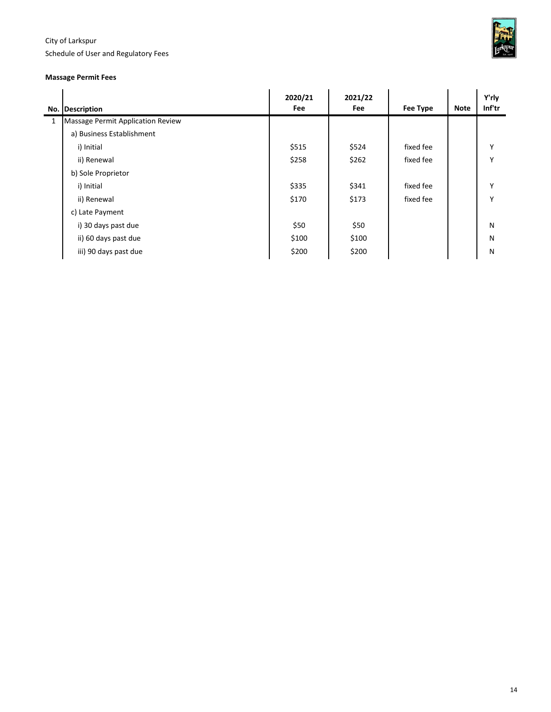Schedule of User and Regulatory Fees



#### **Massage Permit Fees**

|   | No. Description                   | 2020/21<br>Fee | 2021/22<br>Fee | Fee Type  | <b>Note</b> | Y'rly<br>Inf'tr |
|---|-----------------------------------|----------------|----------------|-----------|-------------|-----------------|
| 1 | Massage Permit Application Review |                |                |           |             |                 |
|   | a) Business Establishment         |                |                |           |             |                 |
|   | i) Initial                        | \$515          | \$524          | fixed fee |             | Y               |
|   | ii) Renewal                       | \$258          | \$262          | fixed fee |             | Y               |
|   | b) Sole Proprietor                |                |                |           |             |                 |
|   | i) Initial                        | \$335          | \$341          | fixed fee |             | Y               |
|   | ii) Renewal                       | \$170          | \$173          | fixed fee |             | Y               |
|   | c) Late Payment                   |                |                |           |             |                 |
|   | i) 30 days past due               | \$50           | \$50           |           |             | N               |
|   | ii) 60 days past due              | \$100          | \$100          |           |             | N               |
|   | iii) 90 days past due             | \$200          | \$200          |           |             | N               |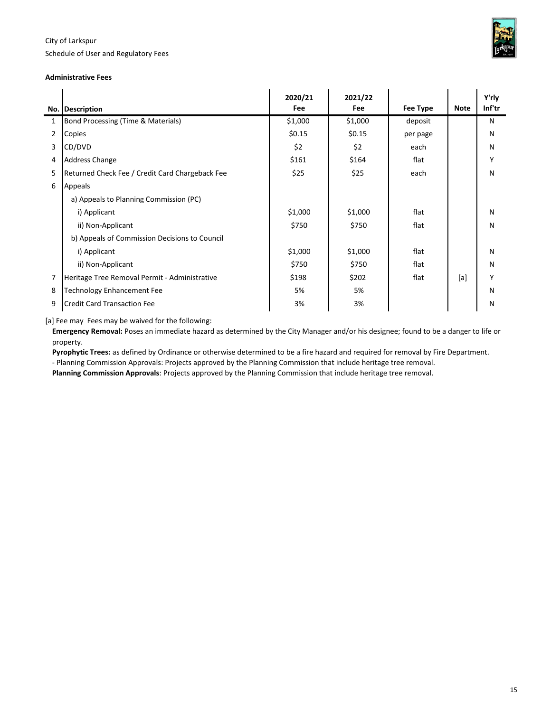Schedule of User and Regulatory Fees



#### **Administrative Fees**

|                | No. Description                                 | 2020/21<br>Fee | 2021/22<br>Fee | <b>Fee Type</b> | <b>Note</b> | Y'rly<br>Inf'tr |
|----------------|-------------------------------------------------|----------------|----------------|-----------------|-------------|-----------------|
| 1              | Bond Processing (Time & Materials)              | \$1,000        | \$1,000        | deposit         |             | N               |
| $\overline{2}$ | Copies                                          | \$0.15         | \$0.15         | per page        |             | N               |
| 3              | CD/DVD                                          | \$2            | \$2            | each            |             | N               |
| 4              | <b>Address Change</b>                           | \$161          | \$164          | flat            |             | Υ               |
| 5              | Returned Check Fee / Credit Card Chargeback Fee | \$25           | \$25           | each            |             | N               |
| 6              | Appeals                                         |                |                |                 |             |                 |
|                | a) Appeals to Planning Commission (PC)          |                |                |                 |             |                 |
|                | i) Applicant                                    | \$1,000        | \$1,000        | flat            |             | N               |
|                | ii) Non-Applicant                               | \$750          | \$750          | flat            |             | N               |
|                | b) Appeals of Commission Decisions to Council   |                |                |                 |             |                 |
|                | i) Applicant                                    | \$1,000        | \$1,000        | flat            |             | N               |
|                | ii) Non-Applicant                               | \$750          | \$750          | flat            |             | N               |
| 7              | Heritage Tree Removal Permit - Administrative   | \$198          | \$202          | flat            | [a]         | Υ               |
| 8              | <b>Technology Enhancement Fee</b>               | 5%             | 5%             |                 |             | N               |
| 9              | <b>Credit Card Transaction Fee</b>              | 3%             | 3%             |                 |             | N               |

[a] Fee may Fees may be waived for the following:

**Emergency Removal:** Poses an immediate hazard as determined by the City Manager and/or his designee; found to be a danger to life or property.

**Pyrophytic Trees:** as defined by Ordinance or otherwise determined to be a fire hazard and required for removal by Fire Department.

- Planning Commission Approvals: Projects approved by the Planning Commission that include heritage tree removal.

**Planning Commission Approvals**: Projects approved by the Planning Commission that include heritage tree removal.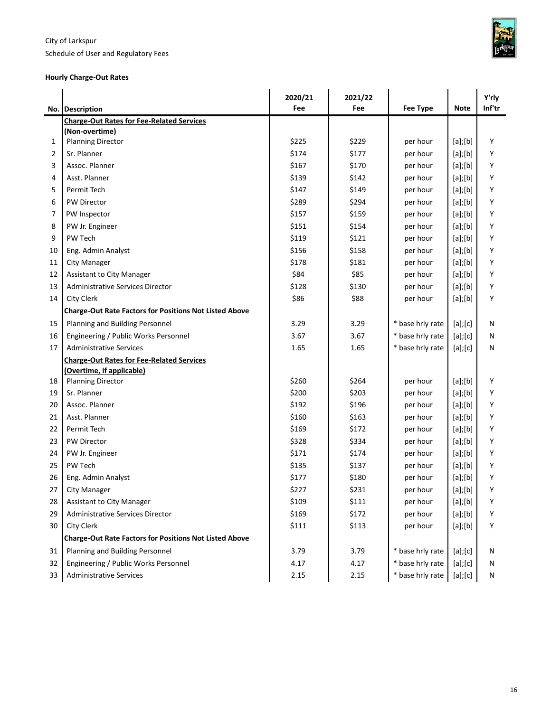Schedule of User and Regulatory Fees



#### **Hourly Charge-Out Rates**

|    |                                                               | 2020/21 | 2021/22 |                  |               | Y'rly  |
|----|---------------------------------------------------------------|---------|---------|------------------|---------------|--------|
|    | No. Description                                               | Fee     | Fee     | <b>Fee Type</b>  | <b>Note</b>   | Inf'tr |
|    | <b>Charge-Out Rates for Fee-Related Services</b>              |         |         |                  |               |        |
|    | (Non-overtime)                                                |         |         |                  |               |        |
| 1  | <b>Planning Director</b>                                      | \$225   | \$229   | per hour         | $[a]$ ; $[b]$ | Υ      |
| 2  | Sr. Planner                                                   | \$174   | \$177   | per hour         | $[a]$ ; $[b]$ | Y      |
| 3  | Assoc. Planner                                                | \$167   | \$170   | per hour         | $[a]$ ; $[b]$ | Υ      |
| 4  | Asst. Planner                                                 | \$139   | \$142   | per hour         | $[a]$ ; $[b]$ | Υ      |
| 5  | Permit Tech                                                   | \$147   | \$149   | per hour         | $[a]$ ; $[b]$ | Υ      |
| 6  | <b>PW Director</b>                                            | \$289   | \$294   | per hour         | $[a]$ ; $[b]$ | Υ      |
| 7  | PW Inspector                                                  | \$157   | \$159   | per hour         | $[a]$ ; $[b]$ | Υ      |
| 8  | PW Jr. Engineer                                               | \$151   | \$154   | per hour         | $[a]$ ; $[b]$ | Υ      |
| 9  | PW Tech                                                       | \$119   | \$121   | per hour         | $[a]$ ; $[b]$ | Υ      |
| 10 | Eng. Admin Analyst                                            | \$156   | \$158   | per hour         | $[a]$ ; $[b]$ | Υ      |
| 11 | <b>City Manager</b>                                           | \$178   | \$181   | per hour         | $[a]$ ; $[b]$ | Y      |
| 12 | Assistant to City Manager                                     | \$84    | \$85    | per hour         | $[a]$ ; $[b]$ | Υ      |
| 13 | <b>Administrative Services Director</b>                       | \$128   | \$130   | per hour         | $[a]$ ; $[b]$ | Υ      |
| 14 | <b>City Clerk</b>                                             | \$86    | \$88    | per hour         | $[a]$ ; $[b]$ | Υ      |
|    | <b>Charge-Out Rate Factors for Positions Not Listed Above</b> |         |         |                  |               |        |
| 15 | Planning and Building Personnel                               | 3.29    | 3.29    | * base hrly rate | $[a]$ ; $[c]$ | N      |
| 16 | Engineering / Public Works Personnel                          | 3.67    | 3.67    | * base hrly rate | [a][c]        | N      |
| 17 | <b>Administrative Services</b>                                | 1.65    | 1.65    | * base hrly rate | [a][c]        | Ν      |
|    | <b>Charge-Out Rates for Fee-Related Services</b>              |         |         |                  |               |        |
|    | <u>(Overtime, if applicable)</u>                              |         |         |                  |               |        |
| 18 | <b>Planning Director</b>                                      | \$260   | \$264   | per hour         | $[a]$ ; $[b]$ | Y      |
| 19 | Sr. Planner                                                   | \$200   | \$203   | per hour         | $[a]$ ; $[b]$ | Υ      |
| 20 | Assoc. Planner                                                | \$192   | \$196   | per hour         | $[a]$ ; $[b]$ | Y      |
| 21 | Asst. Planner                                                 | \$160   | \$163   | per hour         | $[a]$ ; $[b]$ | Υ      |
| 22 | Permit Tech                                                   | \$169   | \$172   | per hour         | $[a]$ ; $[b]$ | Y      |
| 23 | PW Director                                                   | \$328   | \$334   | per hour         | $[a]$ ; $[b]$ | Υ      |
| 24 | PW Jr. Engineer                                               | \$171   | \$174   | per hour         | $[a]$ ; $[b]$ | Υ      |
| 25 | PW Tech                                                       | \$135   | \$137   | per hour         | $[a]$ ; $[b]$ | Υ      |
| 26 | Eng. Admin Analyst                                            | \$177   | \$180   | per hour         | $[a]$ ; $[b]$ | Y      |
| 27 | City Manager                                                  | \$227   | \$231   | per hour         | $[a]$ ; $[b]$ | Υ      |
| 28 | <b>Assistant to City Manager</b>                              | \$109   | \$111   | per hour         | $[a]$ ; $[b]$ | Υ      |
| 29 | Administrative Services Director                              | \$169   | \$172   | per hour         | $[a]$ ; $[b]$ | Υ      |
| 30 | City Clerk                                                    | \$111   | \$113   | per hour         | $[a]$ ; $[b]$ | Υ      |
|    | <b>Charge-Out Rate Factors for Positions Not Listed Above</b> |         |         |                  |               |        |
| 31 | Planning and Building Personnel                               | 3.79    | 3.79    | * base hrly rate | [a][c]        | Ν      |
| 32 | Engineering / Public Works Personnel                          | 4.17    | 4.17    | * base hrly rate | [a][c]        | Ν      |
| 33 | <b>Administrative Services</b>                                | 2.15    | 2.15    | * base hrly rate | [a][c]        | N      |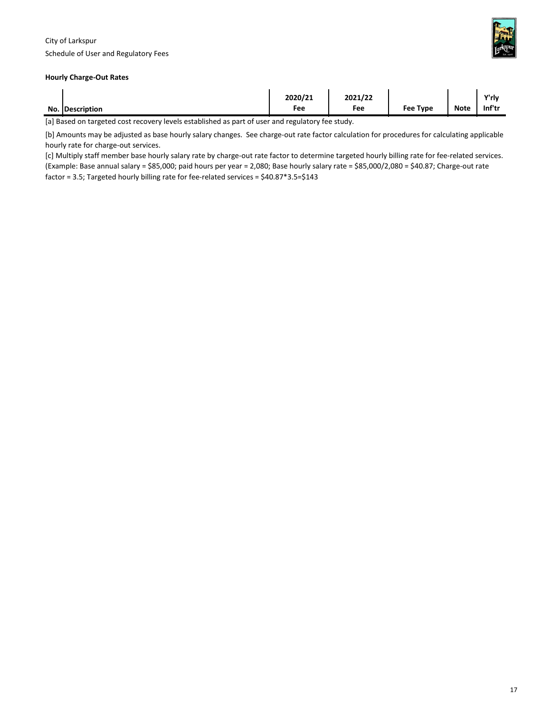

#### **Hourly Charge-Out Rates**

| No. Description | 2020/21<br>Fee | 2021/22<br>Fee | <b>Fee Type</b> | <b>Note</b> | Y'rly<br>Inf'tr |
|-----------------|----------------|----------------|-----------------|-------------|-----------------|
|                 |                |                |                 |             |                 |

[a] Based on targeted cost recovery levels established as part of user and regulatory fee study.

[b] Amounts may be adjusted as base hourly salary changes. See charge-out rate factor calculation for procedures for calculating applicable hourly rate for charge-out services.

[c] Multiply staff member base hourly salary rate by charge-out rate factor to determine targeted hourly billing rate for fee-related services. (Example: Base annual salary = \$85,000; paid hours per year = 2,080; Base hourly salary rate = \$85,000/2,080 = \$40.87; Charge-out rate factor = 3.5; Targeted hourly billing rate for fee-related services = \$40.87\*3.5=\$143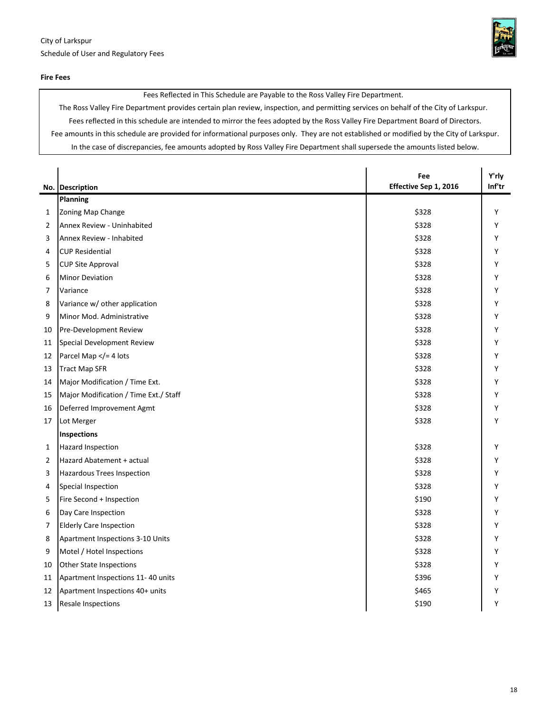

Fees Reflected in This Schedule are Payable to the Ross Valley Fire Department.

The Ross Valley Fire Department provides certain plan review, inspection, and permitting services on behalf of the City of Larkspur. Fees reflected in this schedule are intended to mirror the fees adopted by the Ross Valley Fire Department Board of Directors. Fee amounts in this schedule are provided for informational purposes only. They are not established or modified by the City of Larkspur. In the case of discrepancies, fee amounts adopted by Ross Valley Fire Department shall supersede the amounts listed below.

|                |                                                   | Fee                   | Y'rly  |
|----------------|---------------------------------------------------|-----------------------|--------|
|                | No. Description                                   | Effective Sep 1, 2016 | Inf'tr |
|                | Planning                                          |                       |        |
| 1              | Zoning Map Change                                 | \$328                 | Y      |
| 2              | Annex Review - Uninhabited                        | \$328                 | Y      |
| 3              | Annex Review - Inhabited                          | \$328                 | Y      |
| 4              | <b>CUP Residential</b>                            | \$328                 | Y      |
| 5              | <b>CUP Site Approval</b>                          | \$328                 | Υ      |
| 6              | <b>Minor Deviation</b>                            | \$328                 | Y      |
| $\overline{7}$ | Variance                                          | \$328                 | Υ      |
| 8              | Variance w/ other application                     | \$328                 | Υ      |
| 9              | Minor Mod. Administrative                         | \$328                 | Υ      |
| 10             | Pre-Development Review                            | \$328                 | Y      |
| 11             | Special Development Review                        | \$328                 | Υ      |
| 12             | Parcel Map = 4 lots</td <td>\$328</td> <td>Y</td> | \$328                 | Y      |
| 13             | <b>Tract Map SFR</b>                              | \$328                 | Υ      |
| 14             | Major Modification / Time Ext.                    | \$328                 | Y      |
| 15             | Major Modification / Time Ext./ Staff             | \$328                 | Y      |
| 16             | Deferred Improvement Agmt                         | \$328                 | Υ      |
| 17             | Lot Merger                                        | \$328                 | Y      |
|                | <b>Inspections</b>                                |                       |        |
| 1              | <b>Hazard Inspection</b>                          | \$328                 | Y      |
| 2              | Hazard Abatement + actual                         | \$328                 | Y      |
| 3              | Hazardous Trees Inspection                        | \$328                 | Υ      |
| 4              | Special Inspection                                | \$328                 | Υ      |
| 5              | Fire Second + Inspection                          | \$190                 | Y      |
| 6              | Day Care Inspection                               | \$328                 | Y      |
| 7              | <b>Elderly Care Inspection</b>                    | \$328                 | Υ      |
| 8              | Apartment Inspections 3-10 Units                  | \$328                 | Υ      |
| 9              | Motel / Hotel Inspections                         | \$328                 | Υ      |
| 10             | <b>Other State Inspections</b>                    | \$328                 | Υ      |
| 11             | Apartment Inspections 11-40 units                 | \$396                 | Y      |
| 12             | Apartment Inspections 40+ units                   | \$465                 | Υ      |
| 13             | Resale Inspections                                | \$190                 | Υ      |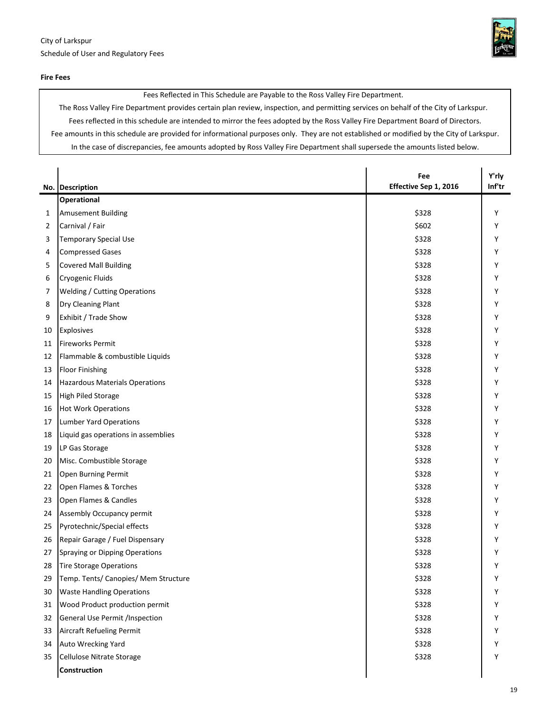

Fees Reflected in This Schedule are Payable to the Ross Valley Fire Department.

The Ross Valley Fire Department provides certain plan review, inspection, and permitting services on behalf of the City of Larkspur. Fees reflected in this schedule are intended to mirror the fees adopted by the Ross Valley Fire Department Board of Directors. Fee amounts in this schedule are provided for informational purposes only. They are not established or modified by the City of Larkspur. In the case of discrepancies, fee amounts adopted by Ross Valley Fire Department shall supersede the amounts listed below.

|    | No. Description                       | Fee<br>Effective Sep 1, 2016 | Y'rly<br>Inf'tr |
|----|---------------------------------------|------------------------------|-----------------|
|    | <b>Operational</b>                    |                              |                 |
| 1  | Amusement Building                    | \$328                        | Y               |
| 2  | Carnival / Fair                       | \$602                        | Y               |
| 3  | <b>Temporary Special Use</b>          | \$328                        | Y               |
| 4  | <b>Compressed Gases</b>               | \$328                        | Y               |
| 5  | <b>Covered Mall Building</b>          | \$328                        | Y               |
| 6  | Cryogenic Fluids                      | \$328                        | Υ               |
| 7  | <b>Welding / Cutting Operations</b>   | \$328                        | Y               |
| 8  | Dry Cleaning Plant                    | \$328                        | Y               |
| 9  | Exhibit / Trade Show                  | \$328                        | Υ               |
| 10 | Explosives                            | \$328                        | Y               |
| 11 | <b>Fireworks Permit</b>               | \$328                        | Y               |
| 12 | Flammable & combustible Liquids       | \$328                        | Y               |
| 13 | <b>Floor Finishing</b>                | \$328                        | Υ               |
| 14 | <b>Hazardous Materials Operations</b> | \$328                        | Υ               |
| 15 | <b>High Piled Storage</b>             | \$328                        | Y               |
| 16 | <b>Hot Work Operations</b>            | \$328                        | Y               |
| 17 | Lumber Yard Operations                | \$328                        | Y               |
| 18 | Liquid gas operations in assemblies   | \$328                        | Υ               |
| 19 | LP Gas Storage                        | \$328                        | Y               |
| 20 | Misc. Combustible Storage             | \$328                        | Y               |
| 21 | Open Burning Permit                   | \$328                        | Υ               |
| 22 | Open Flames & Torches                 | \$328                        | Y               |
| 23 | Open Flames & Candles                 | \$328                        | Y               |
| 24 | Assembly Occupancy permit             | \$328                        | Y               |
| 25 | Pyrotechnic/Special effects           | \$328                        | Y               |
| 26 | Repair Garage / Fuel Dispensary       | \$328                        | Y               |
| 27 | Spraying or Dipping Operations        | \$328                        | Υ               |
| 28 | Tire Storage Operations               | \$328                        | Υ               |
| 29 | Temp. Tents/ Canopies/ Mem Structure  | \$328                        | Υ               |
| 30 | <b>Waste Handling Operations</b>      | \$328                        | Y               |
| 31 | Wood Product production permit        | \$328                        | Y               |
| 32 | General Use Permit /Inspection        | \$328                        | Υ               |
| 33 | Aircraft Refueling Permit             | \$328                        | Υ               |
| 34 | Auto Wrecking Yard                    | \$328                        | Υ               |
| 35 | Cellulose Nitrate Storage             | \$328                        | Y               |
|    | Construction                          |                              |                 |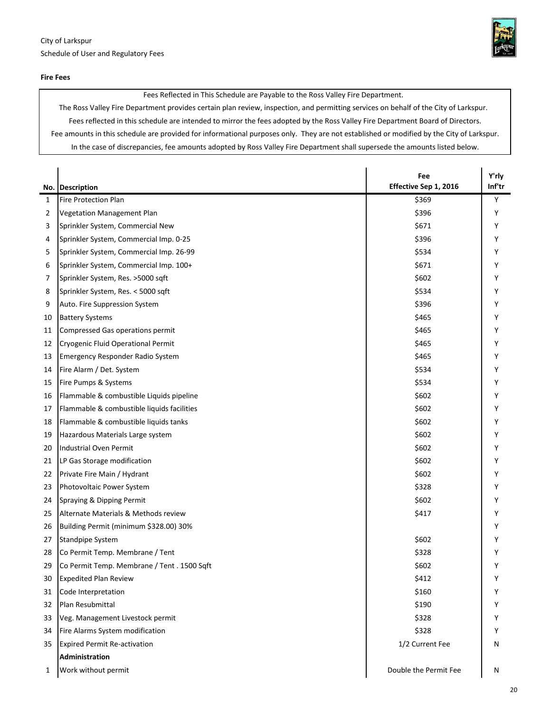

Fees Reflected in This Schedule are Payable to the Ross Valley Fire Department.

The Ross Valley Fire Department provides certain plan review, inspection, and permitting services on behalf of the City of Larkspur. Fees reflected in this schedule are intended to mirror the fees adopted by the Ross Valley Fire Department Board of Directors. Fee amounts in this schedule are provided for informational purposes only. They are not established or modified by the City of Larkspur. In the case of discrepancies, fee amounts adopted by Ross Valley Fire Department shall supersede the amounts listed below.

|    | No. Description                            | Fee<br>Effective Sep 1, 2016 | Y'rly<br>Inf'tr |
|----|--------------------------------------------|------------------------------|-----------------|
| 1  | <b>Fire Protection Plan</b>                | \$369                        | Y               |
| 2  | <b>Vegetation Management Plan</b>          | \$396                        | Υ               |
| 3  | Sprinkler System, Commercial New           | \$671                        | Υ               |
| 4  | Sprinkler System, Commercial Imp. 0-25     | \$396                        | Υ               |
| 5  | Sprinkler System, Commercial Imp. 26-99    | \$534                        | Υ               |
| 6  | Sprinkler System, Commercial Imp. 100+     | \$671                        | Υ               |
| 7  | Sprinkler System, Res. >5000 sqft          | \$602                        | Υ               |
| 8  | Sprinkler System, Res. < 5000 sqft         | \$534                        | Υ               |
| 9  | Auto. Fire Suppression System              | \$396                        | Υ               |
| 10 | <b>Battery Systems</b>                     | \$465                        | Υ               |
| 11 | Compressed Gas operations permit           | \$465                        | Y               |
| 12 | Cryogenic Fluid Operational Permit         | \$465                        | Υ               |
| 13 | <b>Emergency Responder Radio System</b>    | \$465                        | Υ               |
| 14 | Fire Alarm / Det. System                   | \$534                        | Υ               |
| 15 | Fire Pumps & Systems                       | \$534                        | Υ               |
| 16 | Flammable & combustible Liquids pipeline   | \$602                        | Υ               |
| 17 | Flammable & combustible liquids facilities | \$602                        | Υ               |
| 18 | Flammable & combustible liquids tanks      | \$602                        | Y               |
| 19 | Hazardous Materials Large system           | \$602                        | Υ               |
| 20 | Industrial Oven Permit                     | \$602                        | Υ               |
| 21 | LP Gas Storage modification                | \$602                        | Υ               |
| 22 | Private Fire Main / Hydrant                | \$602                        | Υ               |
| 23 | Photovoltaic Power System                  | \$328                        | Y               |
| 24 | Spraying & Dipping Permit                  | \$602                        | Υ               |
| 25 | Alternate Materials & Methods review       | \$417                        | Y               |
| 26 | Building Permit (minimum \$328.00) 30%     |                              | Υ               |
| 27 | <b>Standpipe System</b>                    | \$602                        | Υ               |
| 28 | Co Permit Temp. Membrane / Tent            | \$328                        | Υ               |
| 29 | Co Permit Temp. Membrane / Tent. 1500 Sqft | \$602                        | Υ               |
| 30 | <b>Expedited Plan Review</b>               | \$412                        | Υ               |
| 31 | Code Interpretation                        | \$160                        | Υ               |
| 32 | Plan Resubmittal                           | \$190                        | Y               |
| 33 | Veg. Management Livestock permit           | \$328                        | Υ               |
| 34 | Fire Alarms System modification            | \$328                        | Υ               |
| 35 | <b>Expired Permit Re-activation</b>        | 1/2 Current Fee              | Ν               |
|    | Administration                             |                              |                 |
| 1  | Work without permit                        | Double the Permit Fee        | N               |